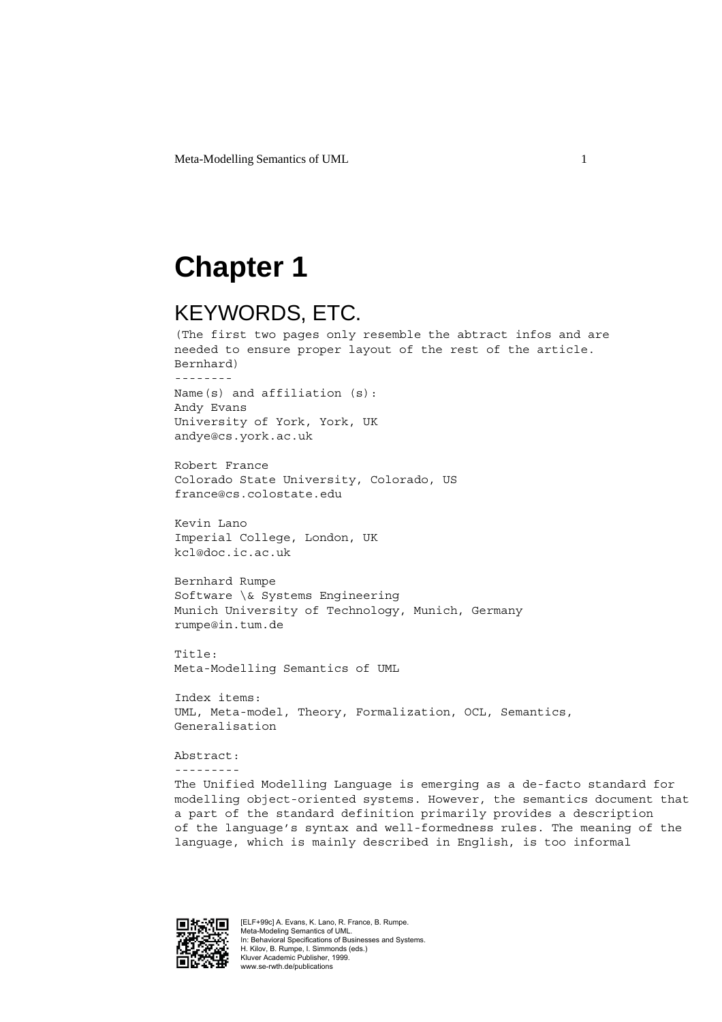# **Chapter 1**

andye@cs.york.ac.uk

## KEYWORDS, ETC.

(The first two pages only resemble the abtract infos and are needed to ensure proper layout of the rest of the article. Bernhard) -------- Name(s) and affiliation (s): Andy Evans University of York, York, UK

Robert France Colorado State University, Colorado, US france@cs.colostate.edu

Kevin Lano Imperial College, London, UK kcl@doc.ic.ac.uk

Bernhard Rumpe Software \& Systems Engineering Munich University of Technology, Munich, Germany rumpe@in.tum.de

Title: Meta-Modelling Semantics of UML

Index items: UML, Meta-model, Theory, Formalization, OCL, Semantics, Generalisation

Abstract:

---------

The Unified Modelling Language is emerging as a de-facto standard for modelling object-oriented systems. However, the semantics document that a part of the standard definition primarily provides a description of the language's syntax and well-formedness rules. The meaning of the language, which is mainly described in English, is too informal



[ELF+99c] A. Evans, K. Lano, R. France, B. Rumpe. Meta-Modeling Semantics of UML. In: Behavioral Specifications of Businesses and Systems. H. Kilov, B. Rumpe, I. Simmonds (eds.) Kluver Academic Publisher, 1999. www.se-rwth.de/publications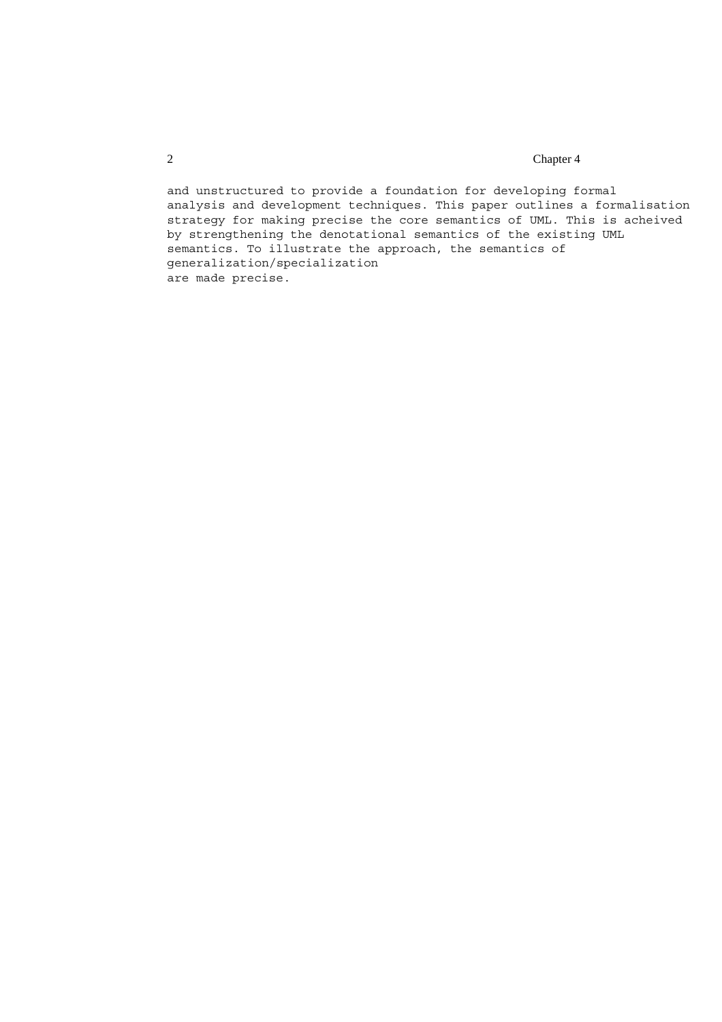and unstructured to provide a foundation for developing formal analysis and development techniques. This paper outlines a formalisation strategy for making precise the core semantics of UML. This is acheived by strengthening the denotational semantics of the existing UML semantics. To illustrate the approach, the semantics of generalization/specialization are made precise.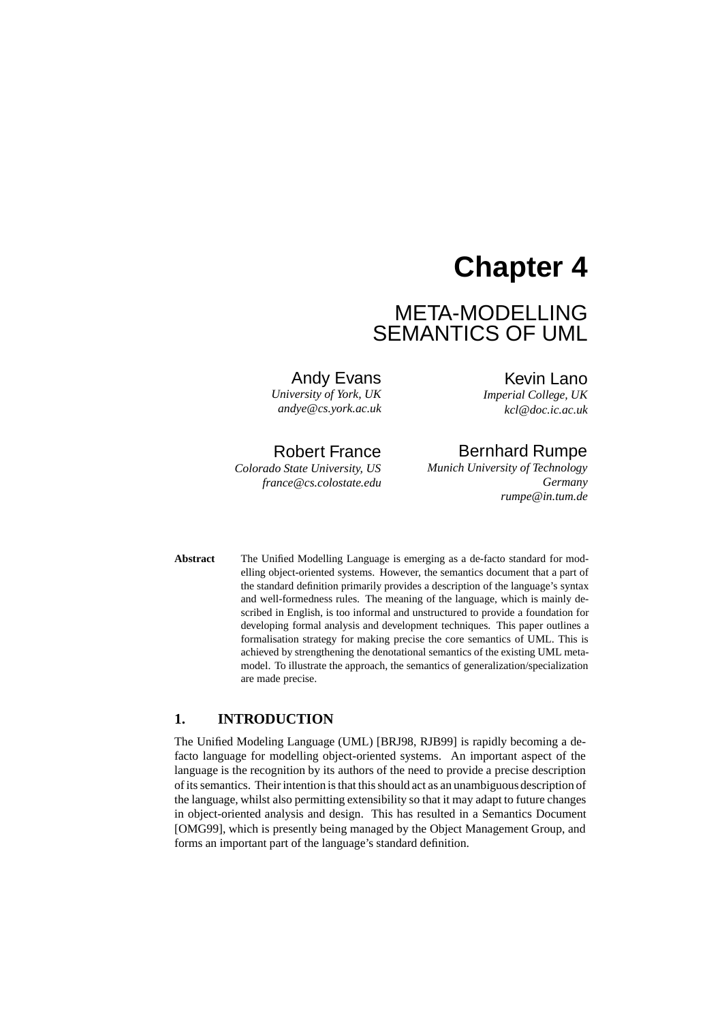## META-MODELLING SEMANTICS OF UML

### Andy Evans

*University of York, UK andye@cs.york.ac.uk*

Robert France *Colorado State University, US france@cs.colostate.edu*

Kevin Lano *Imperial College, UK kcl@doc.ic.ac.uk*

### Bernhard Rumpe

*Munich University of Technology Germany rumpe@in.tum.de*

**Abstract** The Unified Modelling Language is emerging as a de-facto standard for modelling object-oriented systems. However, the semantics document that a part of the standard definition primarily provides a description of the language's syntax and well-formedness rules. The meaning of the language, which is mainly described in English, is too informal and unstructured to provide a foundation for developing formal analysis and development techniques. This paper outlines a formalisation strategy for making precise the core semantics of UML. This is achieved by strengthening the denotational semantics of the existing UML metamodel. To illustrate the approach, the semantics of generalization/specialization are made precise.

#### **1. INTRODUCTION**

The Unified Modeling Language (UML) [BRJ98, RJB99] is rapidly becoming a defacto language for modelling object-oriented systems. An important aspect of the language is the recognition by its authors of the need to provide a precise description of its semantics. Their intention is that this should act as an unambiguous description of the language, whilst also permitting extensibility so that it may adapt to future changes in object-oriented analysis and design. This has resulted in a Semantics Document [OMG99], which is presently being managed by the Object Management Group, and forms an important part of the language's standard definition.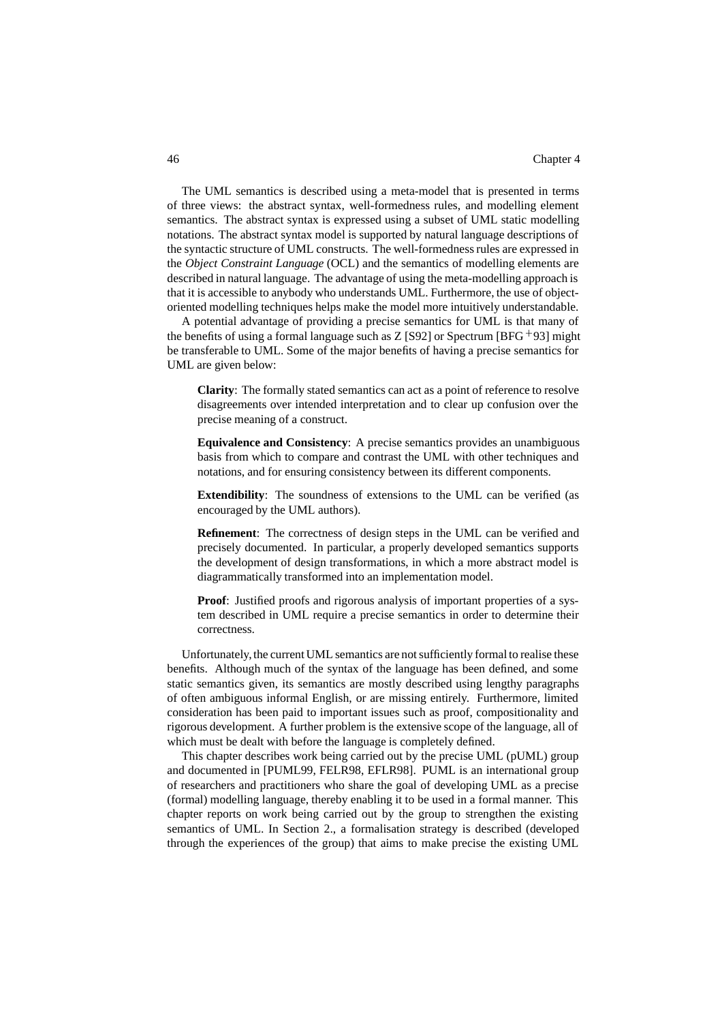The UML semantics is described using a meta-model that is presented in terms of three views: the abstract syntax, well-formedness rules, and modelling element semantics. The abstract syntax is expressed using a subset of UML static modelling notations. The abstract syntax model is supported by natural language descriptions of the syntactic structure of UML constructs. The well-formedness rules are expressed in the *Object Constraint Language* (OCL) and the semantics of modelling elements are described in natural language. The advantage of using the meta-modelling approach is that it is accessible to anybody who understands UML. Furthermore, the use of objectoriented modelling techniques helps make the model more intuitively understandable.

A potential advantage of providing a precise semantics for UML is that many of the benefits of using a formal language such as Z [S92] or Spectrum [BFG $+$ 93] might be transferable to UML. Some of the major benefits of having a precise semantics for UML are given below:

**Clarity**: The formally stated semantics can act as a point of reference to resolve disagreements over intended interpretation and to clear up confusion over the precise meaning of a construct.

**Equivalence and Consistency**: A precise semantics provides an unambiguous basis from which to compare and contrast the UML with other techniques and notations, and for ensuring consistency between its different components.

**Extendibility**: The soundness of extensions to the UML can be verified (as encouraged by the UML authors).

**Refinement**: The correctness of design steps in the UML can be verified and precisely documented. In particular, a properly developed semantics supports the development of design transformations, in which a more abstract model is diagrammatically transformed into an implementation model.

**Proof**: Justified proofs and rigorous analysis of important properties of a system described in UML require a precise semantics in order to determine their correctness.

Unfortunately, the current UML semantics are not sufficiently formal to realise these benefits. Although much of the syntax of the language has been defined, and some static semantics given, its semantics are mostly described using lengthy paragraphs of often ambiguous informal English, or are missing entirely. Furthermore, limited consideration has been paid to important issues such as proof, compositionality and rigorous development. A further problem is the extensive scope of the language, all of which must be dealt with before the language is completely defined.

This chapter describes work being carried out by the precise UML (pUML) group and documented in [PUML99, FELR98, EFLR98]. PUML is an international group of researchers and practitioners who share the goal of developing UML as a precise (formal) modelling language, thereby enabling it to be used in a formal manner. This chapter reports on work being carried out by the group to strengthen the existing semantics of UML. In Section 2., a formalisation strategy is described (developed through the experiences of the group) that aims to make precise the existing UML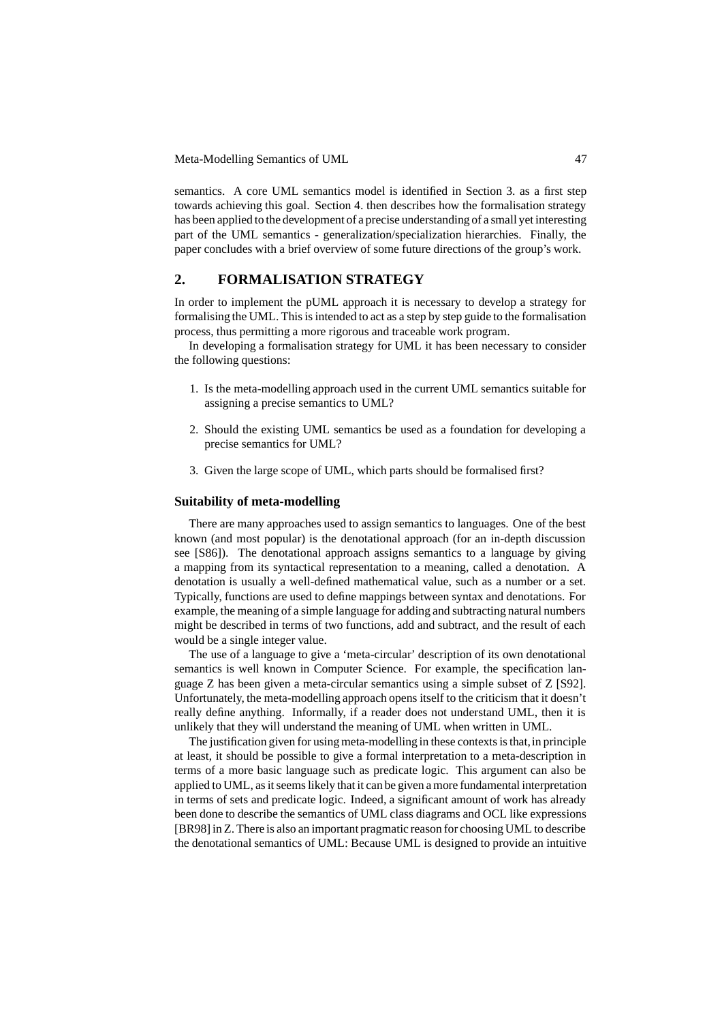semantics. A core UML semantics model is identified in Section 3. as a first step towards achieving this goal. Section 4. then describes how the formalisation strategy has been applied to the development of a precise understanding of a small yet interesting part of the UML semantics - generalization/specialization hierarchies. Finally, the paper concludes with a brief overview of some future directions of the group's work.

#### **2. FORMALISATION STRATEGY**

In order to implement the pUML approach it is necessary to develop a strategy for formalising the UML. This is intended to act as a step by step guide to the formalisation process, thus permitting a more rigorous and traceable work program.

In developing a formalisation strategy for UML it has been necessary to consider the following questions:

- 1. Is the meta-modelling approach used in the current UML semantics suitable for assigning a precise semantics to UML?
- 2. Should the existing UML semantics be used as a foundation for developing a precise semantics for UML?
- 3. Given the large scope of UML, which parts should be formalised first?

#### **Suitability of meta-modelling**

There are many approaches used to assign semantics to languages. One of the best known (and most popular) is the denotational approach (for an in-depth discussion see [S86]). The denotational approach assigns semantics to a language by giving a mapping from its syntactical representation to a meaning, called a denotation. A denotation is usually a well-defined mathematical value, such as a number or a set. Typically, functions are used to define mappings between syntax and denotations. For example, the meaning of a simple language for adding and subtracting natural numbers might be described in terms of two functions, add and subtract, and the result of each would be a single integer value.

The use of a language to give a 'meta-circular' description of its own denotational semantics is well known in Computer Science. For example, the specification language Z has been given a meta-circular semantics using a simple subset of Z [S92]. Unfortunately, the meta-modelling approach opens itself to the criticism that it doesn't really define anything. Informally, if a reader does not understand UML, then it is unlikely that they will understand the meaning of UML when written in UML.

The justification given for using meta-modelling in these contexts is that, in principle at least, it should be possible to give a formal interpretation to a meta-description in terms of a more basic language such as predicate logic. This argument can also be applied to UML, as it seems likely that it can be given a more fundamental interpretation in terms of sets and predicate logic. Indeed, a significant amount of work has already been done to describe the semantics of UML class diagrams and OCL like expressions [BR98] in Z. There is also an important pragmatic reason for choosing UML to describe the denotational semantics of UML: Because UML is designed to provide an intuitive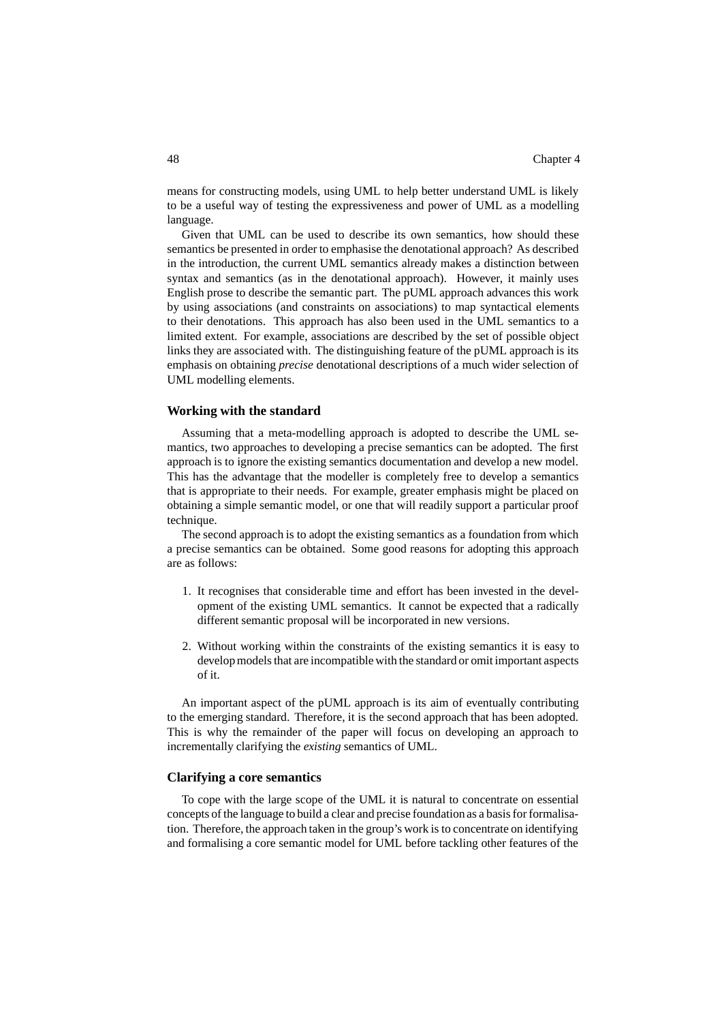means for constructing models, using UML to help better understand UML is likely to be a useful way of testing the expressiveness and power of UML as a modelling language.

Given that UML can be used to describe its own semantics, how should these semantics be presented in order to emphasise the denotational approach? As described in the introduction, the current UML semantics already makes a distinction between syntax and semantics (as in the denotational approach). However, it mainly uses English prose to describe the semantic part. The pUML approach advances this work by using associations (and constraints on associations) to map syntactical elements to their denotations. This approach has also been used in the UML semantics to a limited extent. For example, associations are described by the set of possible object links they are associated with. The distinguishing feature of the pUML approach is its emphasis on obtaining *precise* denotational descriptions of a much wider selection of UML modelling elements.

#### **Working with the standard**

Assuming that a meta-modelling approach is adopted to describe the UML semantics, two approaches to developing a precise semantics can be adopted. The first approach is to ignore the existing semantics documentation and develop a new model. This has the advantage that the modeller is completely free to develop a semantics that is appropriate to their needs. For example, greater emphasis might be placed on obtaining a simple semantic model, or one that will readily support a particular proof technique.

The second approach is to adopt the existing semantics as a foundation from which a precise semantics can be obtained. Some good reasons for adopting this approach are as follows:

- 1. It recognises that considerable time and effort has been invested in the development of the existing UML semantics. It cannot be expected that a radically different semantic proposal will be incorporated in new versions.
- 2. Without working within the constraints of the existing semantics it is easy to develop models that are incompatible with the standard or omit important aspects of it.

An important aspect of the pUML approach is its aim of eventually contributing to the emerging standard. Therefore, it is the second approach that has been adopted. This is why the remainder of the paper will focus on developing an approach to incrementally clarifying the *existing* semantics of UML.

#### **Clarifying a core semantics**

To cope with the large scope of the UML it is natural to concentrate on essential concepts of the language to build a clear and precise foundation as a basis for formalisation. Therefore, the approach taken in the group's work is to concentrate on identifying and formalising a core semantic model for UML before tackling other features of the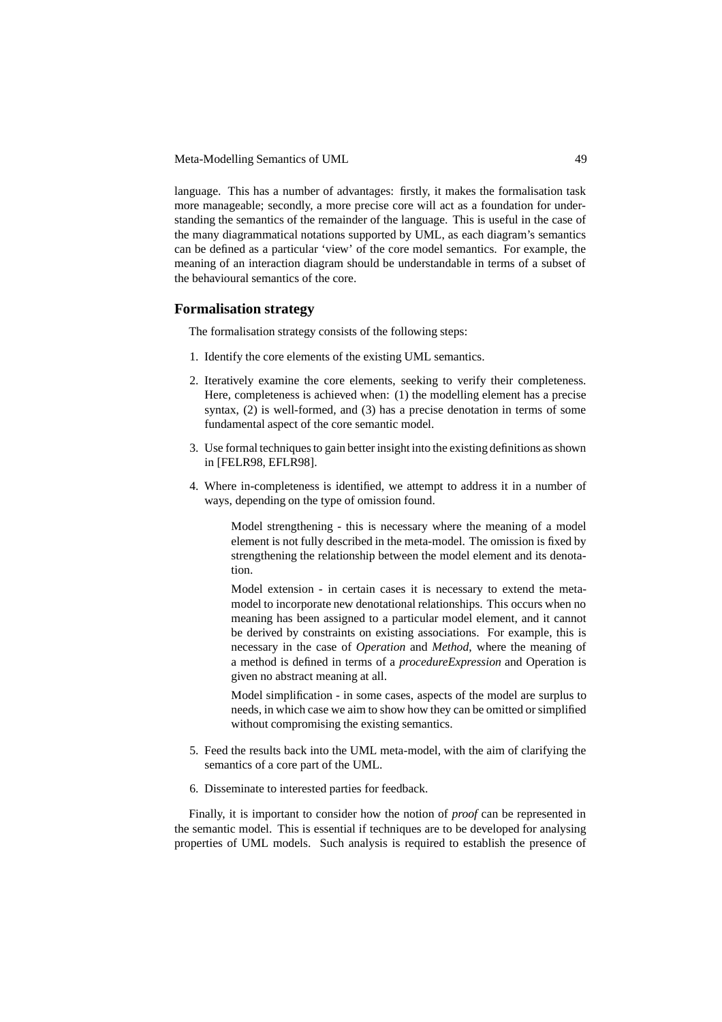language. This has a number of advantages: firstly, it makes the formalisation task more manageable; secondly, a more precise core will act as a foundation for understanding the semantics of the remainder of the language. This is useful in the case of the many diagrammatical notations supported by UML, as each diagram's semantics can be defined as a particular 'view' of the core model semantics. For example, the meaning of an interaction diagram should be understandable in terms of a subset of the behavioural semantics of the core.

#### **Formalisation strategy**

The formalisation strategy consists of the following steps:

- 1. Identify the core elements of the existing UML semantics.
- 2. Iteratively examine the core elements, seeking to verify their completeness. Here, completeness is achieved when: (1) the modelling element has a precise syntax, (2) is well-formed, and (3) has a precise denotation in terms of some fundamental aspect of the core semantic model.
- 3. Use formal techniques to gain better insight into the existing definitions as shown in [FELR98, EFLR98].
- 4. Where in-completeness is identified, we attempt to address it in a number of ways, depending on the type of omission found.

Model strengthening - this is necessary where the meaning of a model element is not fully described in the meta-model. The omission is fixed by strengthening the relationship between the model element and its denotation.

Model extension - in certain cases it is necessary to extend the metamodel to incorporate new denotational relationships. This occurs when no meaning has been assigned to a particular model element, and it cannot be derived by constraints on existing associations. For example, this is necessary in the case of *Operation* and *Method*, where the meaning of a method is defined in terms of a *procedureExpression* and Operation is given no abstract meaning at all.

Model simplification - in some cases, aspects of the model are surplus to needs, in which case we aim to show how they can be omitted or simplified without compromising the existing semantics.

- 5. Feed the results back into the UML meta-model, with the aim of clarifying the semantics of a core part of the UML.
- 6. Disseminate to interested parties for feedback.

Finally, it is important to consider how the notion of *proof* can be represented in the semantic model. This is essential if techniques are to be developed for analysing properties of UML models. Such analysis is required to establish the presence of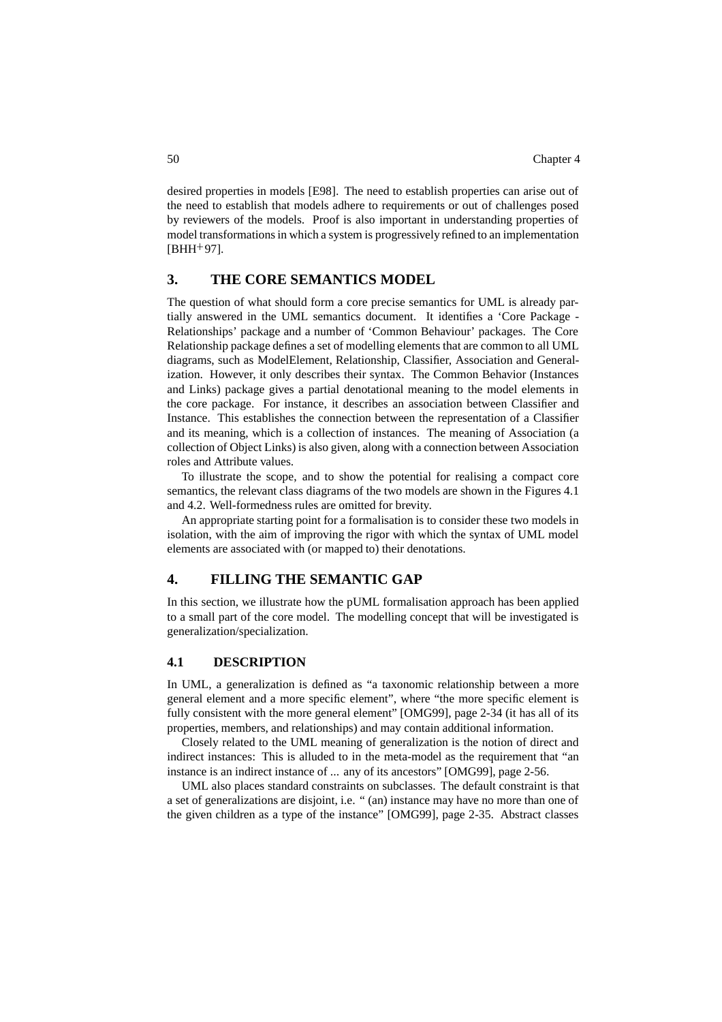desired properties in models [E98]. The need to establish properties can arise out of the need to establish that models adhere to requirements or out of challenges posed by reviewers of the models. Proof is also important in understanding properties of model transformations in which a system is progressively refined to an implementation [BHH 97].

#### **3. THE CORE SEMANTICS MODEL**

The question of what should form a core precise semantics for UML is already partially answered in the UML semantics document. It identifies a 'Core Package - Relationships' package and a number of 'Common Behaviour' packages. The Core Relationship package defines a set of modelling elements that are common to all UML diagrams, such as ModelElement, Relationship, Classifier, Association and Generalization. However, it only describes their syntax. The Common Behavior (Instances and Links) package gives a partial denotational meaning to the model elements in the core package. For instance, it describes an association between Classifier and Instance. This establishes the connection between the representation of a Classifier and its meaning, which is a collection of instances. The meaning of Association (a collection of Object Links) is also given, along with a connection between Association roles and Attribute values.

To illustrate the scope, and to show the potential for realising a compact core semantics, the relevant class diagrams of the two models are shown in the Figures 4.1 and 4.2. Well-formedness rules are omitted for brevity.

An appropriate starting point for a formalisation is to consider these two models in isolation, with the aim of improving the rigor with which the syntax of UML model elements are associated with (or mapped to) their denotations.

#### **4. FILLING THE SEMANTIC GAP**

In this section, we illustrate how the pUML formalisation approach has been applied to a small part of the core model. The modelling concept that will be investigated is generalization/specialization.

#### **4.1 DESCRIPTION**

In UML, a generalization is defined as "a taxonomic relationship between a more general element and a more specific element", where "the more specific element is fully consistent with the more general element" [OMG99], page 2-34 (it has all of its properties, members, and relationships) and may contain additional information.

Closely related to the UML meaning of generalization is the notion of direct and indirect instances: This is alluded to in the meta-model as the requirement that "an instance is an indirect instance of ... any of its ancestors" [OMG99], page 2-56.

UML also places standard constraints on subclasses. The default constraint is that a set of generalizations are disjoint, i.e. " (an) instance may have no more than one of the given children as a type of the instance" [OMG99], page 2-35. Abstract classes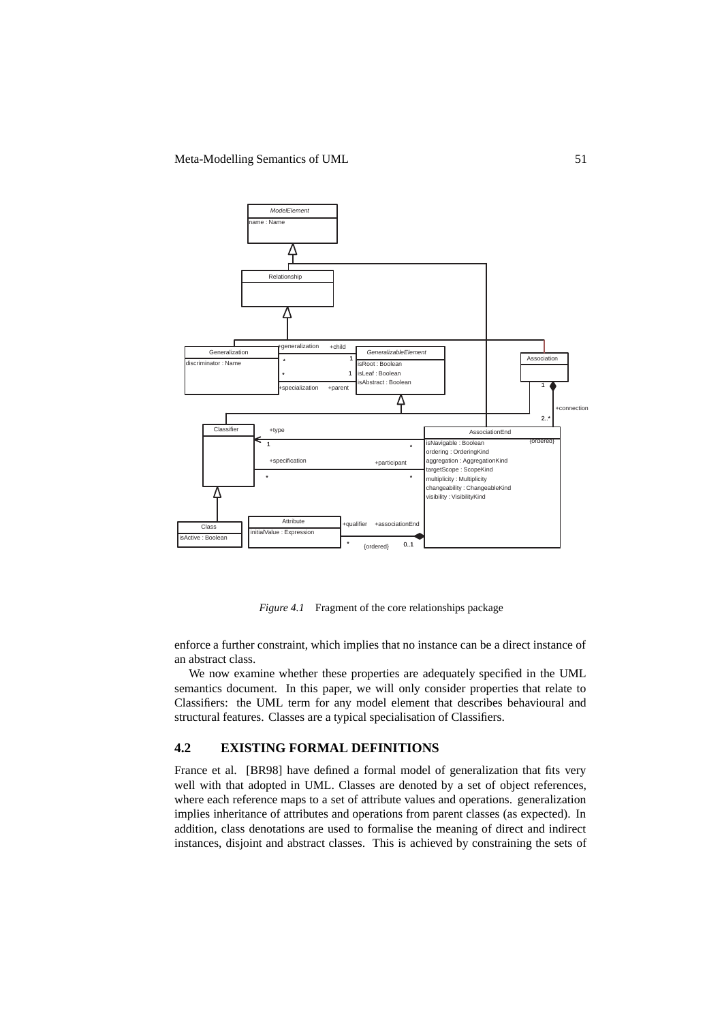

*Figure 4.1* Fragment of the core relationships package

enforce a further constraint, which implies that no instance can be a direct instance of an abstract class.

We now examine whether these properties are adequately specified in the UML semantics document. In this paper, we will only consider properties that relate to Classifiers: the UML term for any model element that describes behavioural and structural features. Classes are a typical specialisation of Classifiers.

#### **4.2 EXISTING FORMAL DEFINITIONS**

France et al. [BR98] have defined a formal model of generalization that fits very well with that adopted in UML. Classes are denoted by a set of object references, where each reference maps to a set of attribute values and operations. generalization implies inheritance of attributes and operations from parent classes (as expected). In addition, class denotations are used to formalise the meaning of direct and indirect instances, disjoint and abstract classes. This is achieved by constraining the sets of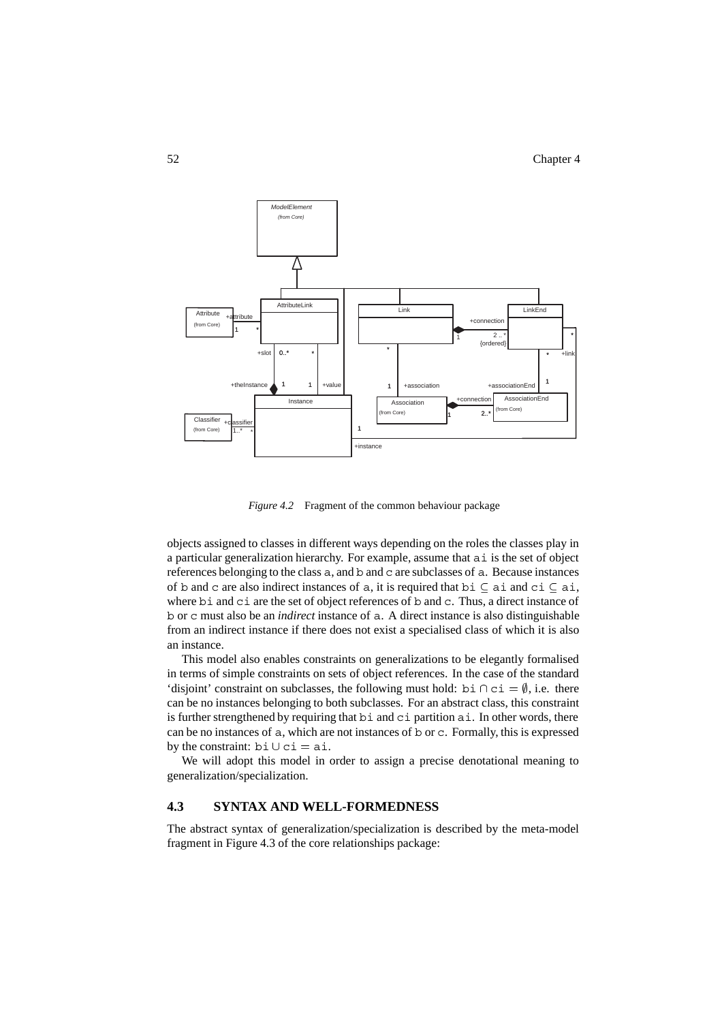

*Figure 4.2* Fragment of the common behaviour package

objects assigned to classes in different ways depending on the roles the classes play in a particular generalization hierarchy. For example, assume that ai is the set of object references belonging to the class a, and b and c are subclasses of a. Because instances of b and c are also indirect instances of a, it is required that  $b_i \subseteq a_i$  and  $c_i \subseteq a_i$ , where bi and ci are the set of object references of b and c. Thus, a direct instance of b or c must also be an *indirect* instance of a. A direct instance is also distinguishable from an indirect instance if there does not exist a specialised class of which it is also an instance.

This model also enables constraints on generalizations to be elegantly formalised in terms of simple constraints on sets of object references. In the case of the standard 'disjoint' constraint on subclasses, the following must hold:  $\forall$  i  $\cap$  ci =  $\emptyset$ , i.e. there can be no instances belonging to both subclasses. For an abstract class, this constraint is further strengthened by requiring that bi and ci partition ai. In other words, there can be no instances of a, which are not instances of b or c. Formally, this is expressed by the constraint:  $bi \cup ci = ai$ .

We will adopt this model in order to assign a precise denotational meaning to generalization/specialization.

#### **4.3 SYNTAX AND WELL-FORMEDNESS**

The abstract syntax of generalization/specialization is described by the meta-model fragment in Figure 4.3 of the core relationships package: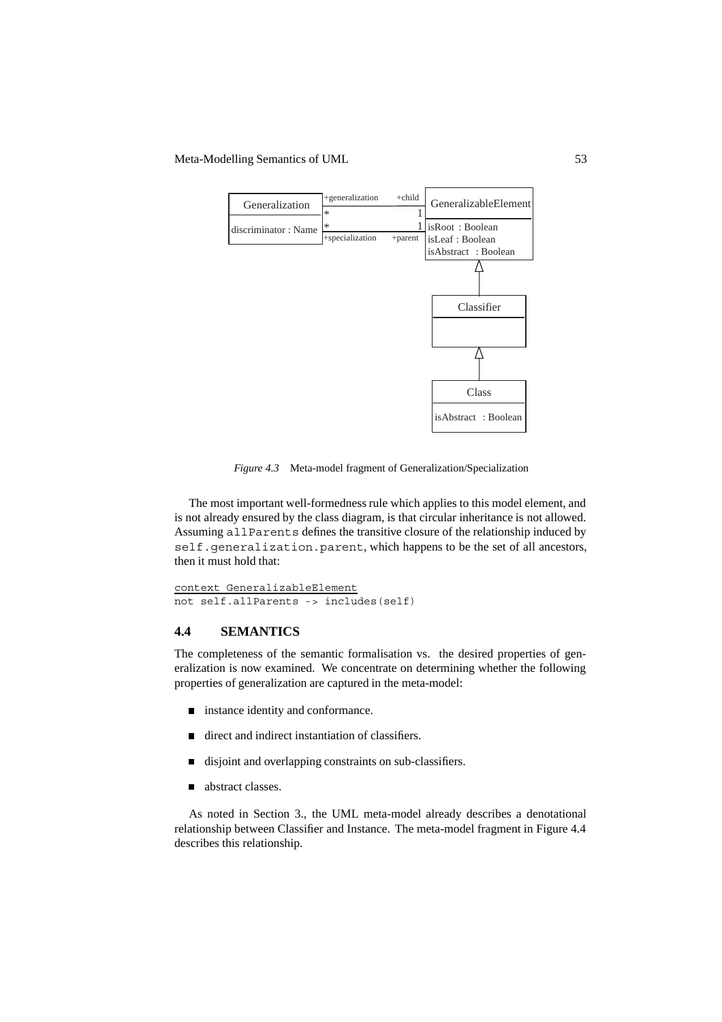

*Figure 4.3* Meta-model fragment of Generalization/Specialization

The most important well-formedness rule which applies to this model element, and is not already ensured by the class diagram, is that circular inheritance is not allowed. Assuming allParents defines the transitive closure of the relationship induced by self.generalization.parent, which happens to be the set of all ancestors, then it must hold that:

```
context GeneralizableElement
not self.allParents -> includes(self)
```
#### **4.4 SEMANTICS**

The completeness of the semantic formalisation vs. the desired properties of generalization is now examined. We concentrate on determining whether the following properties of generalization are captured in the meta-model:

- instance identity and conformance.  $\blacksquare$
- direct and indirect instantiation of classifiers.
- $\blacksquare$ disjoint and overlapping constraints on sub-classifiers.
- abstract classes.

As noted in Section 3., the UML meta-model already describes a denotational relationship between Classifier and Instance. The meta-model fragment in Figure 4.4 describes this relationship.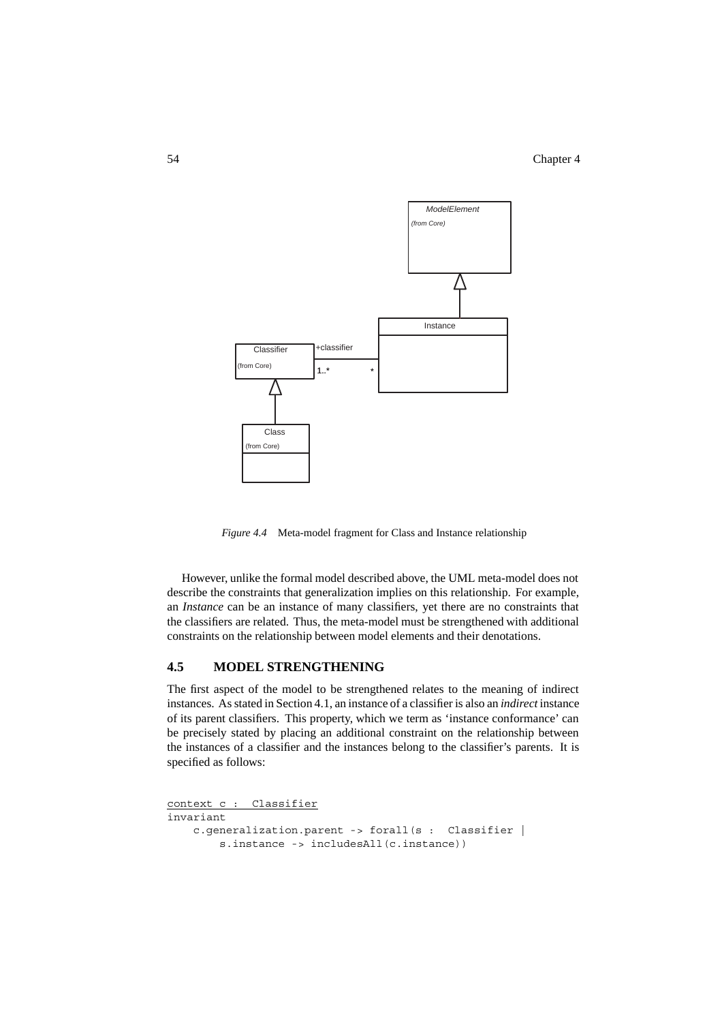

*Figure 4.4* Meta-model fragment for Class and Instance relationship

However, unlike the formal model described above, the UML meta-model does not describe the constraints that generalization implies on this relationship. For example, an *Instance* can be an instance of many classifiers, yet there are no constraints that the classifiers are related. Thus, the meta-model must be strengthened with additional constraints on the relationship between model elements and their denotations.

#### **4.5 MODEL STRENGTHENING**

The first aspect of the model to be strengthened relates to the meaning of indirect instances. As stated in Section 4.1, an instance of a classifier is also an *indirect* instance of its parent classifiers. This property, which we term as 'instance conformance' can be precisely stated by placing an additional constraint on the relationship between the instances of a classifier and the instances belong to the classifier's parents. It is specified as follows:

```
context c : Classifier
invariant
    c.generalization.parent -> forall(s : Classifier |
        s.instance -> includesAll(c.instance))
```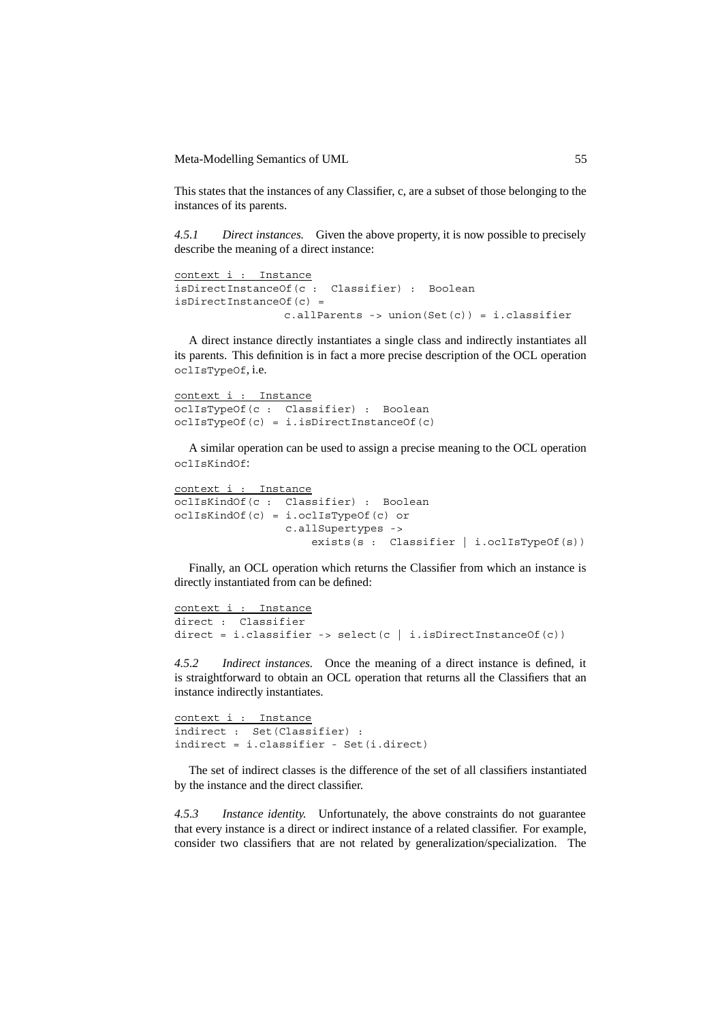This states that the instances of any Classifier, c, are a subset of those belonging to the instances of its parents.

*4.5.1 Direct instances.* Given the above property, it is now possible to precisely describe the meaning of a direct instance:

```
context i : Instance
isDirectInstanceOf(c : Classifier) : Boolean
isDirectInstanceOf(c) =
                c.allParents -> union(Set(c)) = i.classifier
```
A direct instance directly instantiates a single class and indirectly instantiates all its parents. This definition is in fact a more precise description of the OCL operation oclIsTypeOf, i.e.

```
context i : Instance
oclIsTypeOf(c : Classifier) : Boolean
ocllsTypeOf(c) = i.isDirectInstanceOf(c)
```
A similar operation can be used to assign a precise meaning to the OCL operation oclIsKindOf:

```
context i : Instance
oclIsKindOf(c : Classifier) : Boolean
oclIsKindOf(c) = i.oclIsTypeOf(c) or
                c.allSupertypes ->
                    exists(s : Classifier | i.oclIsTypeOf(s))
```
Finally, an OCL operation which returns the Classifier from which an instance is directly instantiated from can be defined:

```
context i : Instance
direct : Classifier
direct = i.classifier -> select(c | i.isDirectInstanceOf(c))
```
*4.5.2 Indirect instances.* Once the meaning of a direct instance is defined, it is straightforward to obtain an OCL operation that returns all the Classifiers that an instance indirectly instantiates.

```
context i : Instance
indirect : Set(Classifier) :
indirect = i.classifier - Set(i.direct)
```
The set of indirect classes is the difference of the set of all classifiers instantiated by the instance and the direct classifier.

*4.5.3 Instance identity.* Unfortunately, the above constraints do not guarantee that every instance is a direct or indirect instance of a related classifier. For example, consider two classifiers that are not related by generalization/specialization. The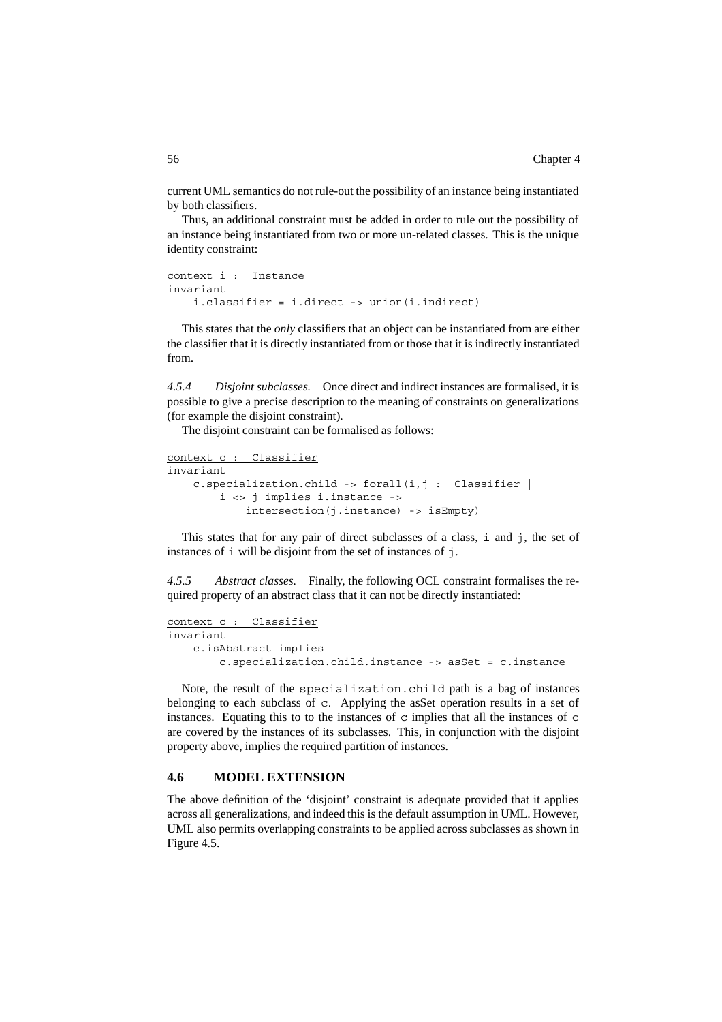current UML semantics do not rule-out the possibility of an instance being instantiated by both classifiers.

Thus, an additional constraint must be added in order to rule out the possibility of an instance being instantiated from two or more un-related classes. This is the unique identity constraint:

```
context i : Instance
invariant
    i.classifier = i.direct -> union(i.indirect)
```
This states that the *only* classifiers that an object can be instantiated from are either the classifier that it is directly instantiated from or those that it is indirectly instantiated from.

*4.5.4 Disjoint subclasses.* Once direct and indirect instances are formalised, it is possible to give a precise description to the meaning of constraints on generalizations (for example the disjoint constraint).

The disjoint constraint can be formalised as follows:

```
context c : Classifier
invariant
    c.\text{specialization.child -> forall (i,j : Classifier |}i <> j implies i.instance ->
            intersection(j.instance) -> isEmpty)
```
This states that for any pair of direct subclasses of a class, i and j, the set of instances of  $\pm$  will be disjoint from the set of instances of  $\pm$ .

*4.5.5 Abstract classes.* Finally, the following OCL constraint formalises the required property of an abstract class that it can not be directly instantiated:

```
context c : Classifier
invariant
    c.isAbstract implies
        c.specialization.child.instance -> asSet = c.instance
```
Note, the result of the specialization.child path is a bag of instances belonging to each subclass of c. Applying the asSet operation results in a set of instances. Equating this to to the instances of c implies that all the instances of c are covered by the instances of its subclasses. This, in conjunction with the disjoint property above, implies the required partition of instances.

#### **4.6 MODEL EXTENSION**

The above definition of the 'disjoint' constraint is adequate provided that it applies across all generalizations, and indeed this is the default assumption in UML. However, UML also permits overlapping constraints to be applied across subclasses as shown in Figure 4.5.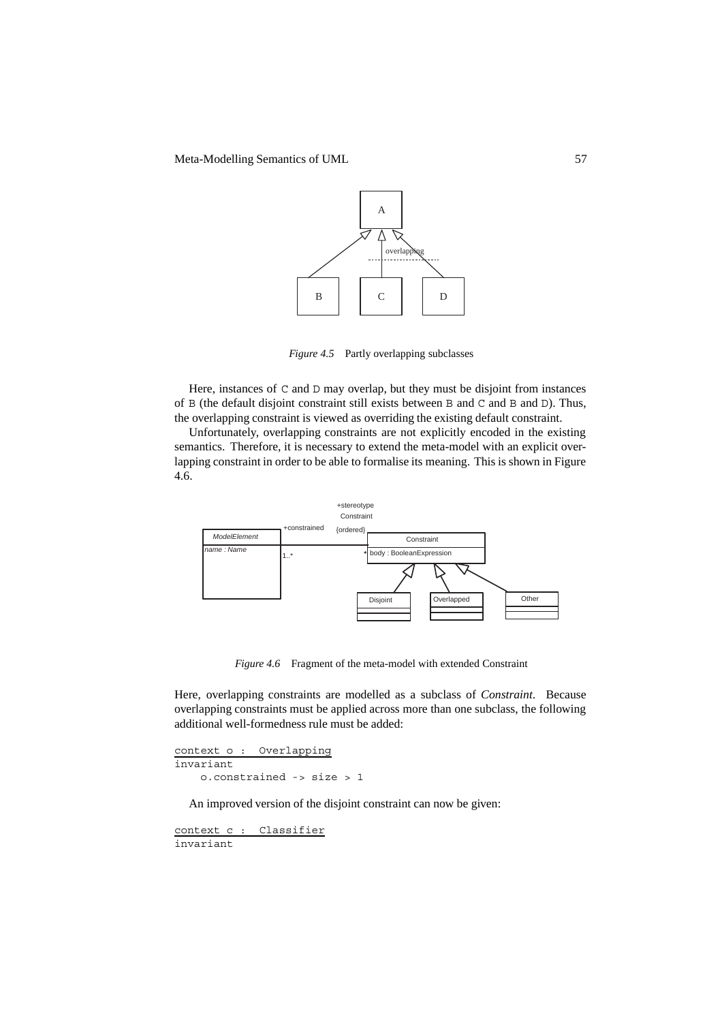

*Figure 4.5* Partly overlapping subclasses

Here, instances of C and D may overlap, but they must be disjoint from instances of B (the default disjoint constraint still exists between B and C and B and D). Thus, the overlapping constraint is viewed as overriding the existing default constraint.

Unfortunately, overlapping constraints are not explicitly encoded in the existing semantics. Therefore, it is necessary to extend the meta-model with an explicit overlapping constraint in order to be able to formalise its meaning. This is shown in Figure 4.6.



*Figure 4.6* Fragment of the meta-model with extended Constraint

Here, overlapping constraints are modelled as a subclass of *Constraint*. Because overlapping constraints must be applied across more than one subclass, the following additional well-formedness rule must be added:

context o : Overlapping invariant o.constrained -> size > 1

An improved version of the disjoint constraint can now be given:

context c : Classifier invariant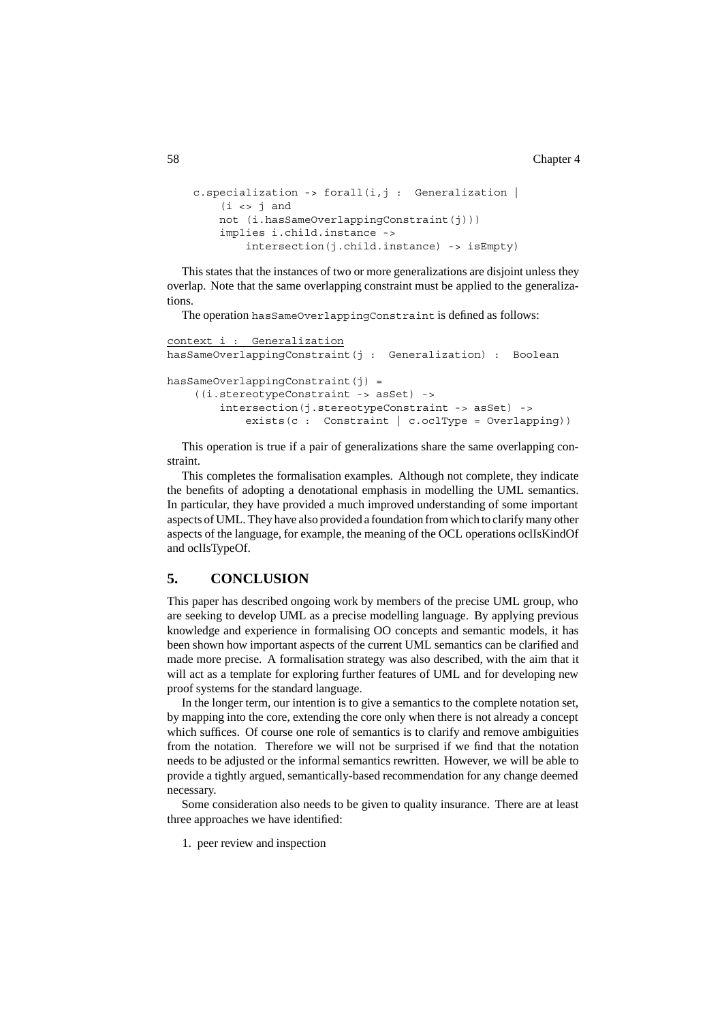```
c.specialization -> forall(i,j : Generalization |
    (i <> j and
    not (i.hasSameOverlappingConstraint(j)))
    implies i.child.instance ->
        intersection(j.child.instance) -> isEmpty)
```
This states that the instances of two or more generalizations are disjoint unless they overlap. Note that the same overlapping constraint must be applied to the generalizations.

The operation hasSameOverlappingConstraint is defined as follows:

```
context i : Generalization
hasSameOverlappingConstraint(j : Generalization) : Boolean
hasSameOverlappingConstruct(i) =((i.stereotypeConstraint -> asSet) ->
        intersection(j.stereotypeConstraint -> asSet) ->
            exists(c : Constraint | c.oclType = Overlapping))
```
This operation is true if a pair of generalizations share the same overlapping constraint.

This completes the formalisation examples. Although not complete, they indicate the benefits of adopting a denotational emphasis in modelling the UML semantics. In particular, they have provided a much improved understanding of some important aspects of UML. They have also provided a foundation from which to clarify many other aspects of the language, for example, the meaning of the OCL operations oclIsKindOf and oclIsTypeOf.

#### **5. CONCLUSION**

This paper has described ongoing work by members of the precise UML group, who are seeking to develop UML as a precise modelling language. By applying previous knowledge and experience in formalising OO concepts and semantic models, it has been shown how important aspects of the current UML semantics can be clarified and made more precise. A formalisation strategy was also described, with the aim that it will act as a template for exploring further features of UML and for developing new proof systems for the standard language.

In the longer term, our intention is to give a semantics to the complete notation set, by mapping into the core, extending the core only when there is not already a concept which suffices. Of course one role of semantics is to clarify and remove ambiguities from the notation. Therefore we will not be surprised if we find that the notation needs to be adjusted or the informal semantics rewritten. However, we will be able to provide a tightly argued, semantically-based recommendation for any change deemed necessary.

Some consideration also needs to be given to quality insurance. There are at least three approaches we have identified:

1. peer review and inspection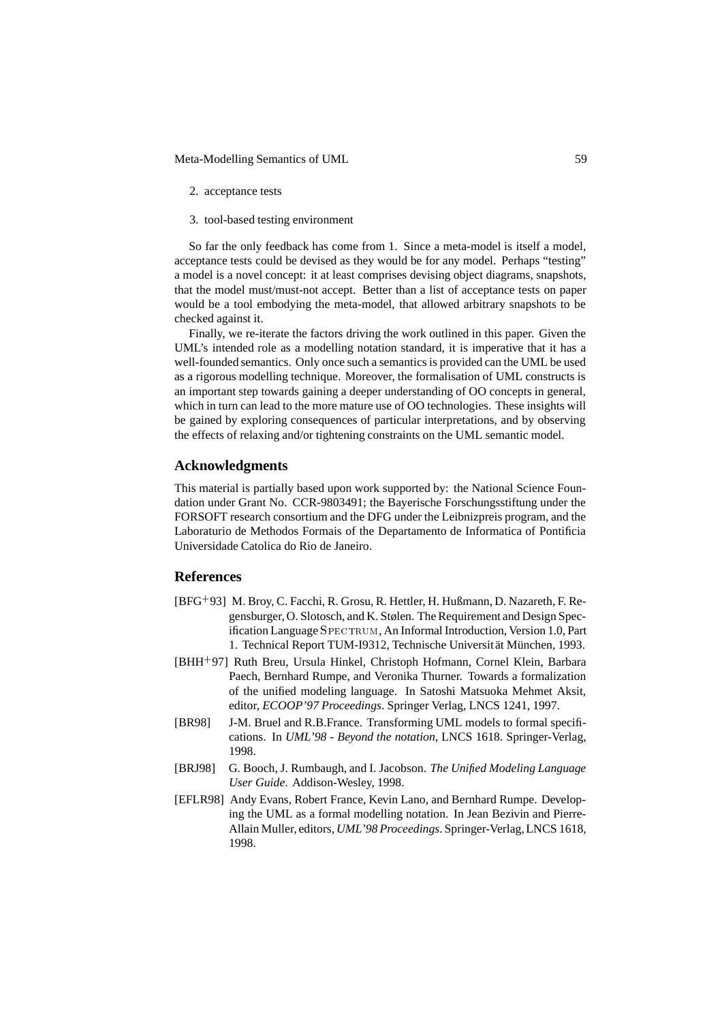- 2. acceptance tests
- 3. tool-based testing environment

So far the only feedback has come from 1. Since a meta-model is itself a model, acceptance tests could be devised as they would be for any model. Perhaps "testing" a model is a novel concept: it at least comprises devising object diagrams, snapshots, that the model must/must-not accept. Better than a list of acceptance tests on paper would be a tool embodying the meta-model, that allowed arbitrary snapshots to be checked against it.

Finally, we re-iterate the factors driving the work outlined in this paper. Given the UML's intended role as a modelling notation standard, it is imperative that it has a well-founded semantics. Only once such a semantics is provided can the UML be used as a rigorous modelling technique. Moreover, the formalisation of UML constructs is an important step towards gaining a deeper understanding of OO concepts in general, which in turn can lead to the more mature use of OO technologies. These insights will be gained by exploring consequences of particular interpretations, and by observing the effects of relaxing and/or tightening constraints on the UML semantic model.

#### **Acknowledgments**

This material is partially based upon work supported by: the National Science Foundation under Grant No. CCR-9803491; the Bayerische Forschungsstiftung under the FORSOFT research consortium and the DFG under the Leibnizpreis program, and the Laboraturio de Methodos Formais of the Departamento de Informatica of Pontificia Universidade Catolica do Rio de Janeiro.

#### **References**

- [BFG 93] M. Broy, C. Facchi, R. Grosu, R. Hettler, H. Hußmann, D. Nazareth, F. Regensburger, O. Slotosch, and K. Stølen. The Requirement and Design Specification Language SPECTRUM, An Informal Introduction, Version 1.0, Part 1. Technical Report TUM-I9312, Technische Universität München, 1993.
- [BHH 97] Ruth Breu, Ursula Hinkel, Christoph Hofmann, Cornel Klein, Barbara Paech, Bernhard Rumpe, and Veronika Thurner. Towards a formalization of the unified modeling language. In Satoshi Matsuoka Mehmet Aksit, editor, *ECOOP'97 Proceedings*. Springer Verlag, LNCS 1241, 1997.
- [BR98] J-M. Bruel and R.B.France. Transforming UML models to formal specifications. In *UML'98 - Beyond the notation*, LNCS 1618. Springer-Verlag, 1998.
- [BRJ98] G. Booch, J. Rumbaugh, and I. Jacobson. *The Unified Modeling Language User Guide*. Addison-Wesley, 1998.
- [EFLR98] Andy Evans, Robert France, Kevin Lano, and Bernhard Rumpe. Developing the UML as a formal modelling notation. In Jean Bezivin and Pierre-Allain Muller, editors, *UML'98 Proceedings*. Springer-Verlag, LNCS 1618, 1998.